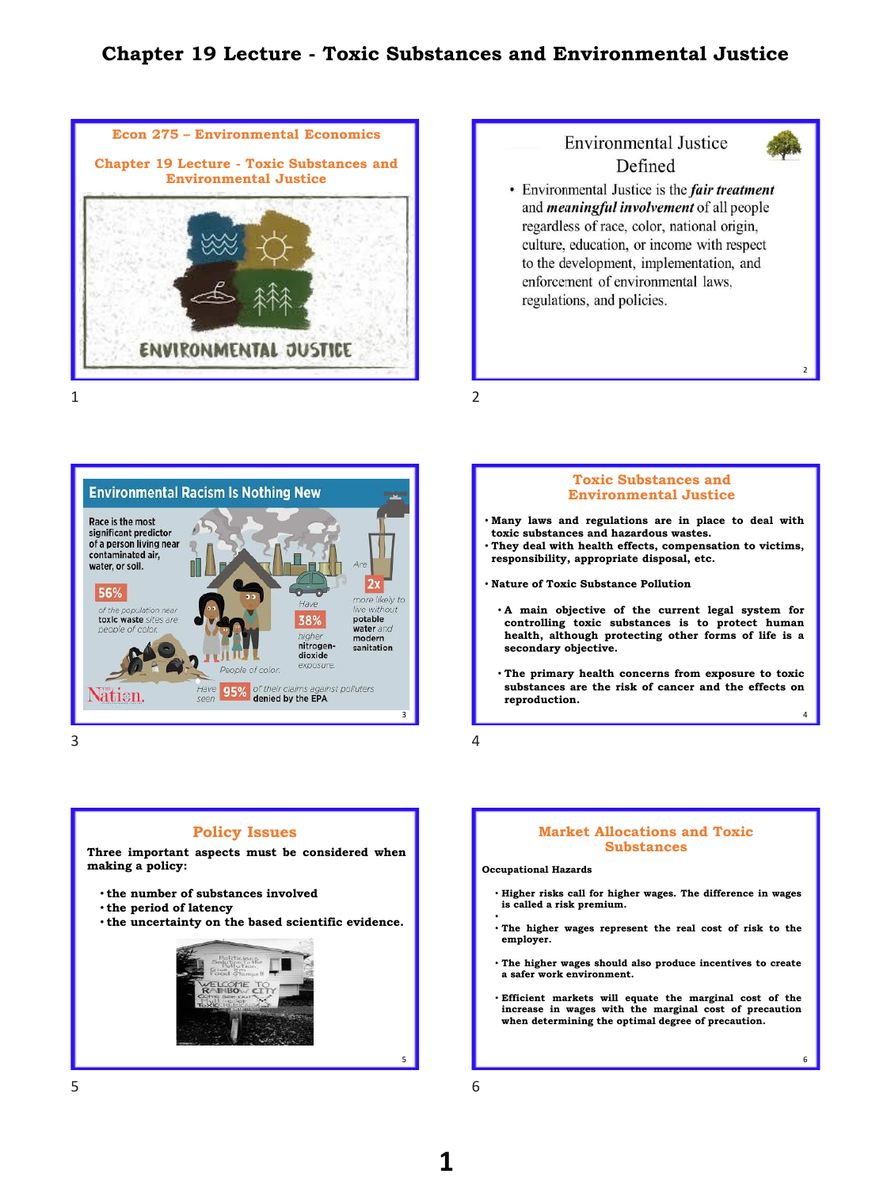# **Chapter 19 Lecture - Toxic Substances and Environmental Justice**





**Environmental Racism Is Nothing New** Race is the most significant predictor of a person living near contaminated air, water, or soil.  $2x$ 56% more likely to Have thout toxic waste sites are potable 38% water and modern nitrogen **sanitation** dioxide exposure eople of color Have 95% of their claims against polluters vatien.  $\overline{3}$  4

 $3 \overline{4}$ 



- **Many laws and regulations are in place to deal with toxic substances and hazardous wastes.**
- **They deal with health effects, compensation to victims, responsibility, appropriate disposal, etc.**
- **Nature of Toxic Substance Pollution**
	- **A main objective of the current legal system for controlling toxic substances is to protect human health, although protecting other forms of life is a secondary objective.**
	- **The primary health concerns from exposure to toxic substances are the risk of cancer and the effects on reproduction.**

### **Policy Issues**

**Three important aspects must be considered when making a policy:**

- **the number of substances involved**
- **the period of latency**
- **the uncertainty on the based scientific evidence.**



### **Market Allocations and Toxic Substances**

**Occupational Hazards**

- **Higher risks call for higher wages. The difference in wages is called a risk premium.**
- • **The higher wages represent the real cost of risk to the employer.**
- **The higher wages should also produce incentives to create a safer work environment.**
- **Efficient markets will equate the marginal cost of the increase in wages with the marginal cost of precaution when determining the optimal degree of precaution.**

6

 $5$  6

# **1**

5